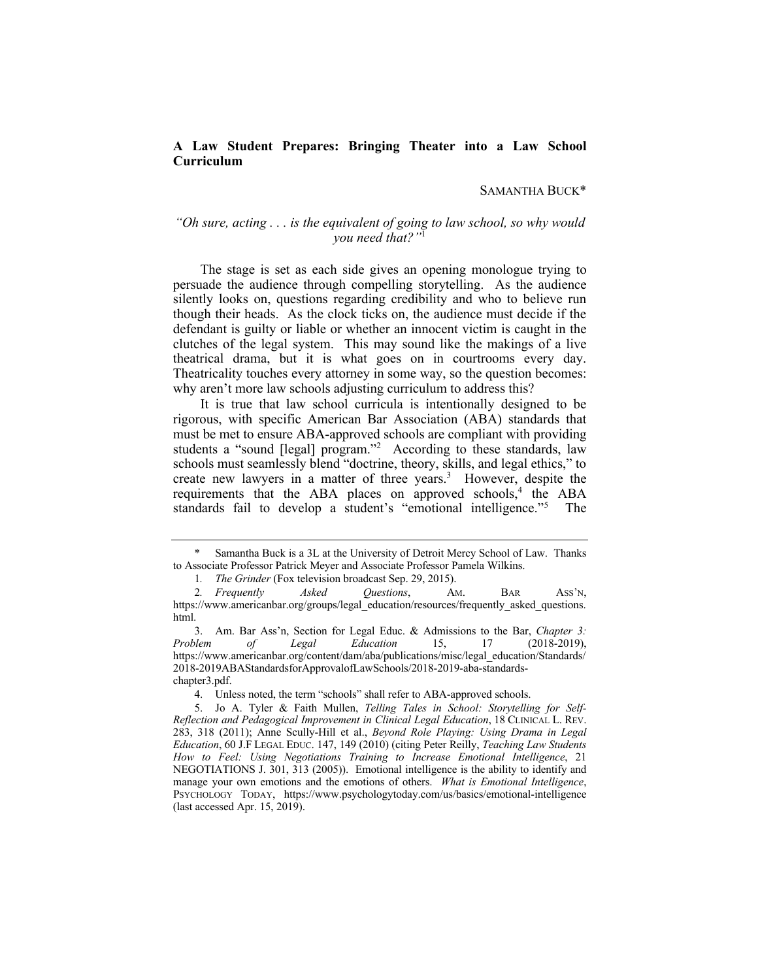# **A Law Student Prepares: Bringing Theater into a Law School Curriculum**

## SAMANTHA BUCK\*

# *"Oh sure, acting . . . is the equivalent of going to law school, so why would you need that?"*<sup>1</sup>

 The stage is set as each side gives an opening monologue trying to persuade the audience through compelling storytelling. As the audience silently looks on, questions regarding credibility and who to believe run though their heads. As the clock ticks on, the audience must decide if the defendant is guilty or liable or whether an innocent victim is caught in the clutches of the legal system. This may sound like the makings of a live theatrical drama, but it is what goes on in courtrooms every day. Theatricality touches every attorney in some way, so the question becomes: why aren't more law schools adjusting curriculum to address this?

 It is true that law school curricula is intentionally designed to be rigorous, with specific American Bar Association (ABA) standards that must be met to ensure ABA-approved schools are compliant with providing students a "sound [legal] program."<sup>2</sup> According to these standards, law schools must seamlessly blend "doctrine, theory, skills, and legal ethics," to create new lawyers in a matter of three years.<sup>3</sup> However, despite the requirements that the ABA places on approved schools,<sup>4</sup> the ABA standards fail to develop a student's "emotional intelligence."<sup>5</sup> The

 to Associate Professor Patrick Meyer and Associate Professor Pamela Wilkins. Samantha Buck is a 3L at the University of Detroit Mercy School of Law. Thanks

<sup>1</sup>*. The Grinder* (Fox television broadcast Sep. 29, 2015).

<sup>2</sup>*. Frequently Asked Questions*, AM. BAR ASS'N, [https://www.americanbar.org/groups/legal\\_education/resources/frequently\\_asked\\_questions](https://www.americanbar.org/groups/legal_education/resources/frequently_asked_questions). html.

*Problem* 3. Am. Bar Ass'n, Section for Legal Educ. & Admissions to the Bar, *Chapter 3: Problem of Legal Education* 15, 17 (2018-2019), [https://www.americanbar.org/content/dam/aba/publications/misc/legal\\_education/Standards/](https://www.americanbar.org/content/dam/aba/publications/misc/legal_education/Standards) 2018-2019ABAStandardsforApprovalofLawSchools/2018-2019-aba-standardschapter3.pdf.

<sup>4.</sup> Unless noted, the term "schools" shall refer to ABA-approved schools.

 *Reflection and Pedagogical Improvement in Clinical Legal Education*, 18 CLINICAL L. REV. 283, 318 (2011); Anne Scully-Hill et al., *Beyond Role Playing: Using Drama in Legal Education*, 60 J.F LEGAL EDUC. 147, 149 (2010) (citing Peter Reilly, *Teaching Law Students How to Feel: Using Negotiations Training to Increase Emotional Intelligence*, 21 NEGOTIATIONS J. 301, 313 (2005)). Emotional intelligence is the ability to identify and manage your own emotions and the emotions of others. *What is Emotional Intelligence*, (last accessed Apr. 15, 2019). 5. Jo A. Tyler & Faith Mullen, *Telling Tales in School: Storytelling for Self-*PSYCHOLOGY TODAY, <https://www.psychologytoday.com/us/basics/emotional-intelligence>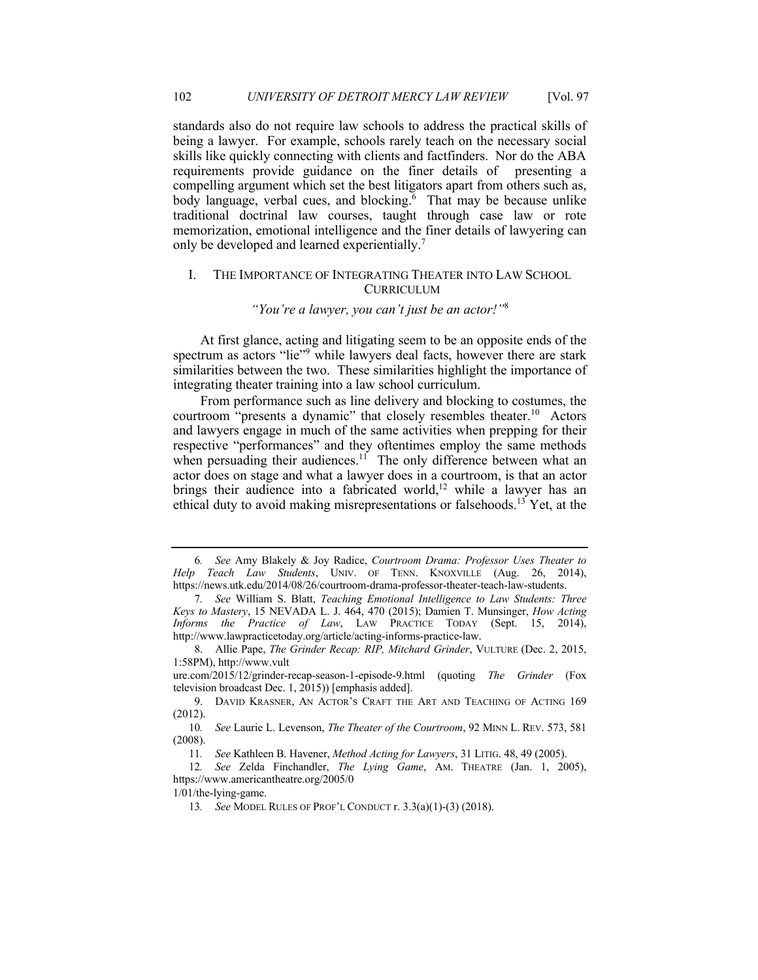standards also do not require law schools to address the practical skills of being a lawyer. For example, schools rarely teach on the necessary social skills like quickly connecting with clients and factfinders. Nor do the ABA requirements provide guidance on the finer details of presenting a compelling argument which set the best litigators apart from others such as, body language, verbal cues, and blocking.<sup> $6$ </sup> That may be because unlike traditional doctrinal law courses, taught through case law or rote memorization, emotional intelligence and the finer details of lawyering can only be developed and learned experientially.<sup>7</sup>

## I. THE IMPORTANCE OF INTEGRATING THEATER INTO LAW SCHOOL CURRICULUM

# *"You're a lawyer, you can't just be an actor!"*<sup>8</sup>

 At first glance, acting and litigating seem to be an opposite ends of the spectrum as actors "lie"<sup>9</sup> while lawyers deal facts, however there are stark similarities between the two. These similarities highlight the importance of integrating theater training into a law school curriculum.

courtroom "presents a dynamic" that closely resembles theater.<sup>10</sup> Actors and lawyers engage in much of the same activities when prepping for their respective "performances" and they oftentimes employ the same methods when persuading their audiences.<sup>11</sup> The only difference between what an actor does on stage and what a lawyer does in a courtroom, is that an actor brings their audience into a fabricated world,<sup>12</sup> while a lawyer has an ethical duty to avoid making misrepresentations or falsehoods.<sup>13</sup> Yet, at the From performance such as line delivery and blocking to costumes, the

 *Help Teach Law Students*, UNIV. OF TENN. KNOXVILLE (Aug. 26, 2014), 6*. See* Amy Blakely & Joy Radice, *Courtroom Drama: Professor Uses Theater to*  [https://news.utk.edu/2014/08/26/courtroom-drama-professor-theater-teach-law-students.](https://news.utk.edu/2014/08/26/courtroom-drama-professor-theater-teach-law-students)

 *Keys to Mastery*, 15 NEVADA L. J. 464, 470 (2015); Damien T. Munsinger, *How Acting Informs the Practice of Law*, LAW PRACTICE TODAY (Sept. 15, 2014), 7*. See* William S. Blatt, *Teaching Emotional Intelligence to Law Students: Three*  [http://www.lawpracticetoday.org/article/acting-informs-practice-law.](http://www.lawpracticetoday.org/article/acting-informs-practice-law)

<sup>8.</sup> Allie Pape, *The Grinder Recap: RIP, Mitchard Grinder*, VULTURE (Dec. 2, 2015, 1:58PM),<http://www.vult>

 television broadcast Dec. 1, 2015)) [emphasis added]. [ure.com/2015/12/grinder-recap-season-1-episode-9.html](https://ure.com/2015/12/grinder-recap-season-1-episode-9.html) (quoting *The Grinder* (Fox

<sup>9.</sup> DAVID KRASNER, AN ACTOR'S CRAFT THE ART AND TEACHING OF ACTING 169 (2012).

<sup>10</sup>*. See* Laurie L. Levenson, *The Theater of the Courtroom*, 92 MINN L. REV. 573, 581 (2008).

<sup>11</sup>*. See* Kathleen B. Havener, *Method Acting for Lawyers*, 31 LITIG. 48, 49 (2005).

<sup>12</sup>*. See* Zelda Finchandler, *The Lying Game*, AM. THEATRE (Jan. 1, 2005), <https://www.americantheatre.org/2005/0>

<sup>1/01/</sup>the-lying-game.

<sup>13</sup>*. See* MODEL RULES OF PROF'L CONDUCT r. 3.3(a)(1)-(3) (2018).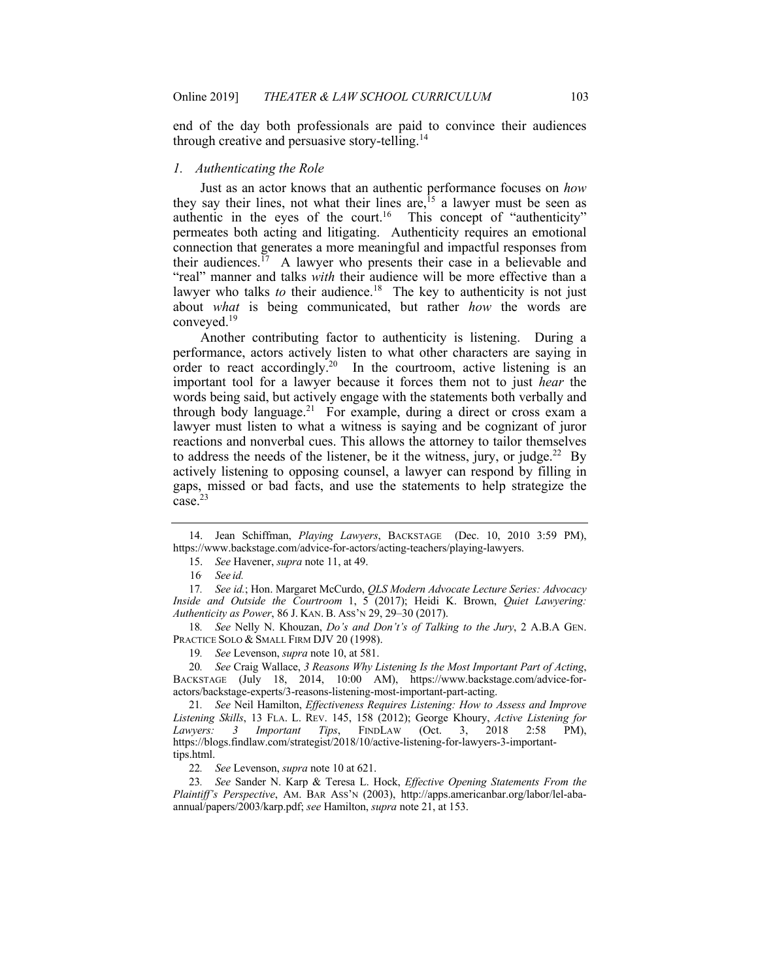end of the day both professionals are paid to convince their audiences through creative and persuasive story-telling.<sup>14</sup>

#### *1. Authenticating the Role*

 Just as an actor knows that an authentic performance focuses on *how*  they say their lines, not what their lines are,  $15$  a lawyer must be seen as authentic in the eyes of the court.<sup>16</sup> This concept of "authenticity" permeates both acting and litigating. Authenticity requires an emotional connection that generates a more meaningful and impactful responses from their audiences.<sup>17</sup> A lawyer who presents their case in a believable and "real" manner and talks *with* their audience will be more effective than a lawyer who talks *to* their audience.<sup>18</sup> The key to authenticity is not just about *what* is being communicated, but rather *how* the words are [conveyed.19](https://conveyed.19) 

 Another contributing factor to authenticity is listening. During a performance, actors actively listen to what other characters are saying in order to react accordingly.<sup>20</sup> In the courtroom, active listening is an important tool for a lawyer because it forces them not to just *hear* the words being said, but actively engage with the statements both verbally and through body language.<sup>21</sup> For example, during a direct or cross exam a lawyer must listen to what a witness is saying and be cognizant of juror reactions and nonverbal cues. This allows the attorney to tailor themselves to address the needs of the listener, be it the witness, jury, or judge.<sup>22</sup> By actively listening to opposing counsel, a lawyer can respond by filling in gaps, missed or bad facts, and use the statements to help strategize the case.<sup>23</sup>

 *Inside and Outside the Courtroom* 1, 5 (2017); Heidi K. Brown, *Quiet Lawyering: Authenticity as Power*, 86 J. KAN. B. ASS'N 29, 29–30 (2017). 17*. See id.*; Hon. Margaret McCurdo, *QLS Modern Advocate Lecture Series: Advocacy* 

PRACTICE SOLO & SMALL FIRM DJV 20 (1998). 18*. See* Nelly N. Khouzan, *Do's and Don't's of Talking to the Jury*, 2 A.B.A GEN.

19*. See* Levenson, *supra* note 10, at 581.

 BACKSTAGE (July 18, 2014, 10:00 AM), [https://www.backstage.com/advice-for-](https://www.backstage.com/advice-for)20*. See* Craig Wallace, *3 Reasons Why Listening Is the Most Important Part of Acting*, actors/backstage-experts/3-reasons-listening-most-important-part-acting.

 *Listening Skills*, 13 FLA. L. REV. 145, 158 (2012); George Khoury, *Active Listening for Lawyers:* 21*. See* Neil Hamilton, *Effectiveness Requires Listening: How to Assess and Improve Lawyers: 3 Important Tips*, FINDLAW (Oct. 3, 2018 2:58 PM), <https://blogs.findlaw.com/strategist/2018/10/active-listening-for-lawyers-3-important>tips.html.

22*. See* Levenson, *supra* note 10 at 621.

23*. See* Sander N. Karp & Teresa L. Hock, *Effective Opening Statements From the Plaintiff's Perspective*, AM. BAR ASS'N (2003), <http://apps.americanbar.org/labor/lel-aba>annual/papers/2003/karp.pdf; *see* Hamilton, *supra* note 21, at 153.

<sup>14.</sup> Jean Schiffman, *Playing Lawyers*, BACKSTAGE (Dec. 10, 2010 3:59 PM), <https://www.backstage.com/advice-for-actors/acting-teachers/playing-lawyers>.

<sup>15.</sup> *See* Havener, *supra* note 11, at 49.

<sup>16</sup>*. See id.*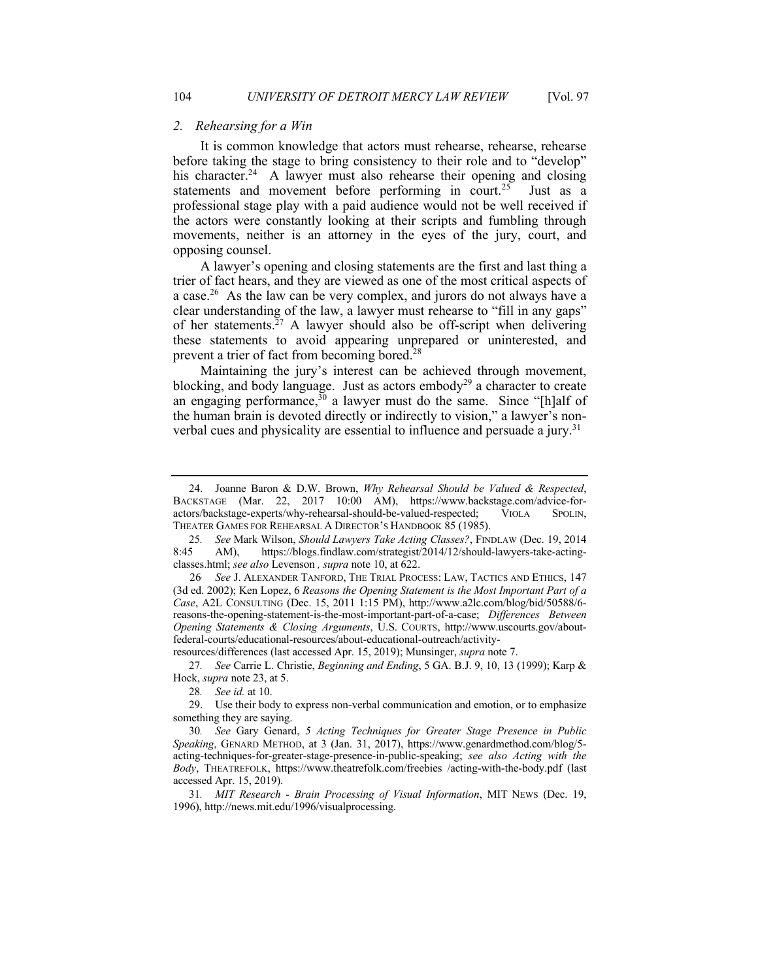#### *2. Rehearsing for a Win*

 It is common knowledge that actors must rehearse, rehearse, rehearse his character.<sup>24</sup> A lawyer must also rehearse their opening and closing statements and movement before performing in court.<sup>25</sup> Just as a professional stage play with a paid audience would not be well received if the actors were constantly looking at their scripts and fumbling through movements, neither is an attorney in the eyes of the jury, court, and before taking the stage to bring consistency to their role and to "develop" opposing counsel.

 A lawyer's opening and closing statements are the first and last thing a trier of fact hears, and they are viewed as one of the most critical aspects of a case.<sup>26</sup> As the law can be very complex, and jurors do not always have a clear understanding of the law, a lawyer must rehearse to "fill in any gaps" of her statements.<sup>27</sup> A lawyer should also be off-script when delivering these statements to avoid appearing unprepared or uninterested, and prevent a trier of fact from becoming bored. $^{28}$ 

 Maintaining the jury's interest can be achieved through movement, blocking, and body language. Just as actors embody<sup>29</sup> a character to create an engaging performance,  $30$  a lawyer must do the same. Since "[h]alf of the human brain is devoted directly or indirectly to vision," a lawyer's nonverbal cues and physicality are essential to influence and persuade a jury.<sup>31</sup>

resources/differences (last accessed Apr. 15, 2019); Munsinger, *supra* note 7.

27*. See* Carrie L. Christie, *Beginning and Ending*, 5 GA. B.J. 9, 10, 13 (1999); Karp & Hock, *supra* note 23, at 5.

 BACKSTAGE (Mar. 22, 2017 10:00 AM), [https://www.backstage.com/advice-for-](https://www.backstage.com/advice-for) THEATER GAMES FOR REHEARSAL A DIRECTOR'S HANDBOOK 85 (1985). 24. Joanne Baron & D.W. Brown, *Why Rehearsal Should be Valued & Respected*, actors/backstage-experts/why-rehearsal-should-be-valued-respected; VIOLA SPOLIN,

 classes.html; *see also* Levenson *, supra* note 10, at 622. 25*. See* Mark Wilson, *Should Lawyers Take Acting Classes?*, FINDLAW (Dec. 19, 2014 8:45 AM), [https://blogs.findlaw.com/strategist/2014/12/should-lawyers-take-acting-](https://blogs.findlaw.com/strategist/2014/12/should-lawyers-take-acting)

 26*. See* J. ALEXANDER TANFORD, THE TRIAL PROCESS: LAW, TACTICS AND ETHICS, 147 (3d ed. 2002); Ken Lopez, 6 *Reasons the Opening Statement is the Most Important Part of a Case*, A2L CONSULTING (Dec. 15, 2011 1:15 PM), [http://www.a2lc.com/blog/bid/50588/6-](http://www.a2lc.com/blog/bid/50588/6)  reasons-the-opening-statement-is-the-most-important-part-of-a-case; *Differences Between Opening Statements & Closing Arguments*, U.S. COURTS, <http://www.uscourts.gov/about>federal-courts/educational-resources/about-educational-outreach/activity-

<sup>28</sup>*. See id.* at 10.

 something they are saying. 29. Use their body to express non-verbal communication and emotion, or to emphasize

 *Speaking*, GENARD METHOD, at 3 (Jan. 31, 2017), [https://www.genardmethod.com/blog/5-](https://www.genardmethod.com/blog/5)  acting-techniques-for-greater-stage-presence-in-public-speaking; *see also Acting with the Body*, THEATREFOLK, <https://www.theatrefolk.com/freebies> /acting-with-the-body.pdf (last accessed Apr. 15, 2019). 30*. See* Gary Genard, *5 Acting Techniques for Greater Stage Presence in Public* 

<sup>31</sup>*. MIT Research - Brain Processing of Visual Information*, MIT NEWS (Dec. 19, 1996), [http://news.mit.edu/1996/visualprocessing.](http://news.mit.edu/1996/visualprocessing)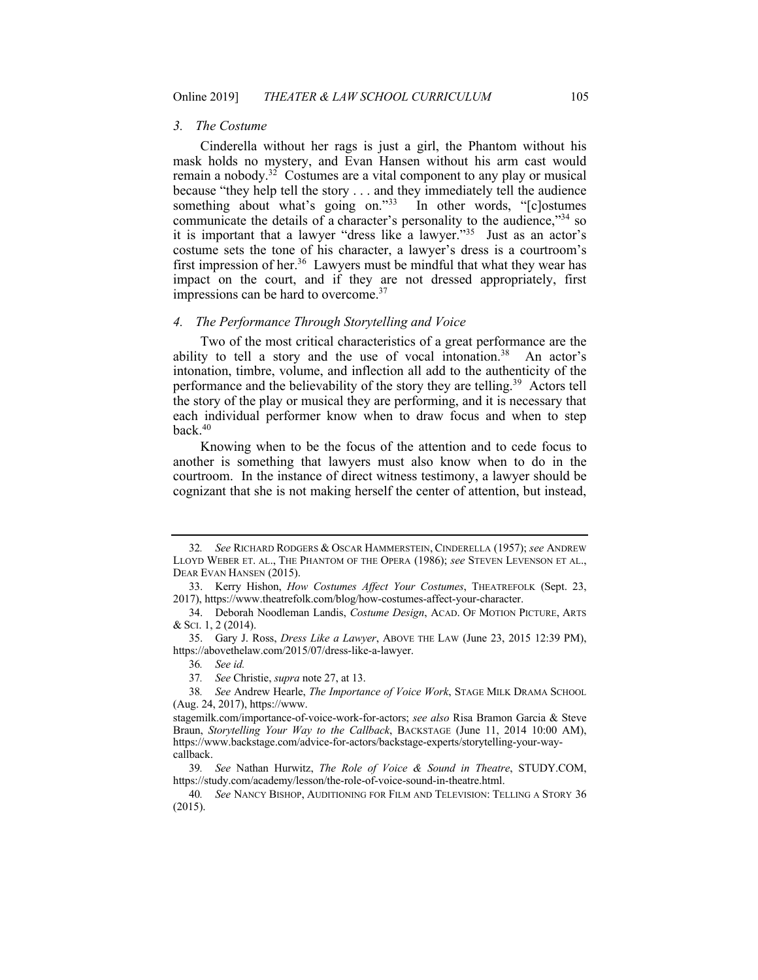#### *3. The Costume*

 Cinderella without her rags is just a girl, the Phantom without his mask holds no mystery, and Evan Hansen without his arm cast would remain a nobody.<sup>32</sup> Costumes are a vital component to any play or musical because "they help tell the story . . . and they immediately tell the audience something about what's going on."33 In other words, "[c]ostumes communicate the details of a character's personality to the audience,"<sup>34</sup> so it is important that a lawyer "dress like a lawyer."35 Just as an actor's costume sets the tone of his character, a lawyer's dress is a courtroom's first impression of her.<sup>36</sup> Lawyers must be mindful that what they wear has impact on the court, and if they are not dressed appropriately, first impressions can be hard to overcome.<sup>37</sup>

#### *4. The Performance Through Storytelling and Voice*

 Two of the most critical characteristics of a great performance are the ability to tell a story and the use of vocal intonation.<sup>38</sup> An actor's intonation, timbre, volume, and inflection all add to the authenticity of the performance and the believability of the story they are telling.<sup>39</sup> Actors tell the story of the play or musical they are performing, and it is necessary that each individual performer know when to draw focus and when to step back.40

 Knowing when to be the focus of the attention and to cede focus to another is something that lawyers must also know when to do in the courtroom. In the instance of direct witness testimony, a lawyer should be cognizant that she is not making herself the center of attention, but instead,

36*. See id.* 

 LLOYD WEBER ET. AL., THE PHANTOM OF THE OPERA (1986); *see* STEVEN LEVENSON ET AL., DEAR EVAN HANSEN (2015). 32*. See* RICHARD RODGERS & OSCAR HAMMERSTEIN, CINDERELLA (1957); *see* ANDREW

<sup>33.</sup> Kerry Hishon, *How Costumes Affect Your Costumes*, THEATREFOLK (Sept. 23, 2017), [https://www.theatrefolk.com/blog/how-costumes-affect-your-character.](https://www.theatrefolk.com/blog/how-costumes-affect-your-character)

<sup>34.</sup> Deborah Noodleman Landis, *Costume Design*, ACAD. OF MOTION PICTURE, ARTS & SCI. 1, 2 (2014).

<sup>35.</sup> Gary J. Ross, *Dress Like a Lawyer*, ABOVE THE LAW (June 23, 2015 12:39 PM), <https://abovethelaw.com/2015/07/dress-like-a-lawyer>.

<sup>37</sup>*. See* Christie, *supra* note 27, at 13.

 (Aug. 24, 2017), <https://www>. 38*. See* Andrew Hearle, *The Importance of Voice Work*, STAGE MILK DRAMA SCHOOL

 [stagemilk.com/importance-of-voice-work-for-actors](https://stagemilk.com/importance-of-voice-work-for-actors); *see also* Risa Bramon Garcia & Steve  Braun, *Storytelling Your Way to the Callback*, BACKSTAGE (June 11, 2014 10:00 AM), <https://www.backstage.com/advice-for-actors/backstage-experts/storytelling-your-way>callback.

<sup>39</sup>*. See* Nathan Hurwitz, *The Role of Voice & Sound in Theatre*, [STUDY.COM,](https://STUDY.COM) [https://study.com/academy/lesson/the-role-of-voice-sound-in-theatre.html.](https://study.com/academy/lesson/the-role-of-voice-sound-in-theatre.html)

<sup>40</sup>*. See* NANCY BISHOP, AUDITIONING FOR FILM AND TELEVISION: TELLING A STORY 36 (2015).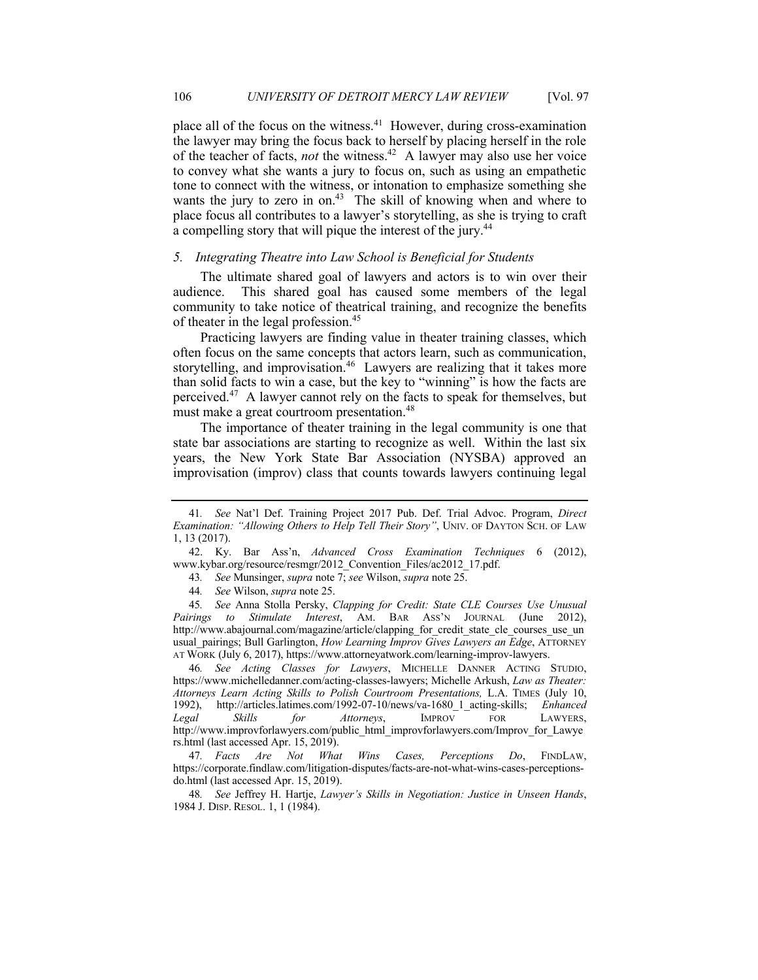place all of the focus on the witness.<sup>41</sup> However, during cross-examination the lawyer may bring the focus back to herself by placing herself in the role of the teacher of facts, *not* the witness.<sup>42</sup> A lawyer may also use her voice to convey what she wants a jury to focus on, such as using an empathetic tone to connect with the witness, or intonation to emphasize something she wants the jury to zero in on.<sup>43</sup> The skill of knowing when and where to place focus all contributes to a lawyer's storytelling, as she is trying to craft a compelling story that will pique the interest of the jury.<sup>44</sup>

#### *5. Integrating Theatre into Law School is Beneficial for Students*

 The ultimate shared goal of lawyers and actors is to win over their audience. community to take notice of theatrical training, and recognize the benefits of theater in the legal profession.<sup>45</sup> This shared goal has caused some members of the legal

 often focus on the same concepts that actors learn, such as communication, storytelling, and improvisation.<sup>46</sup> Lawyers are realizing that it takes more than solid facts to win a case, but the key to "winning" is how the facts are perceived.<sup>47</sup> A lawyer cannot rely on the facts to speak for themselves, but must make a great courtroom presentation.<sup>48</sup> Practicing lawyers are finding value in theater training classes, which

 The importance of theater training in the legal community is one that state bar associations are starting to recognize as well. Within the last six years, the New York State Bar Association (NYSBA) approved an improvisation (improv) class that counts towards lawyers continuing legal

 <https://www.michelledanner.com/acting-classes-lawyers>; Michelle Arkush, *Law as Theater: Attorneys Learn Acting Skills to Polish Courtroom Presentations,* L.A. TIMES (July 10, Legal rs.html (last accessed Apr. 15, 2019). 46*. See Acting Classes for Lawyers*, MICHELLE DANNER ACTING STUDIO, 1992), [http://articles.latimes.com/1992-07-10/news/va-1680\\_1\\_acting-skills](http://articles.latimes.com/1992-07-10/news/va-1680_1_acting-skills); *Enhanced Legal Skills for Attorneys*, IMPROV FOR LAWYERS, [http://www.improvforlawyers.com/public\\_html\\_improvforlawyers.com/Improv\\_for\\_Lawye](http://www.improvforlawyers.com/public_html_improvforlawyers.com/Improv_for_Lawye)

48*. See* Jeffrey H. Hartje, *Lawyer's Skills in Negotiation: Justice in Unseen Hands*, 1984 J. DISP. RESOL. 1, 1 (1984).

 *Examination: "Allowing Others to Help Tell Their Story"*, UNIV. OF DAYTON SCH. OF LAW 41*. See* Nat'l Def. Training Project 2017 Pub. Def. Trial Advoc. Program, *Direct*  1, 13 (2017).

<sup>42.</sup> Ky. Bar Ass'n, *Advanced Cross Examination Techniques* 6 (2012), [www.kybar.org/resource/resmgr/2012\\_Convention\\_Files/ac2012\\_17.pdf](www.kybar.org/resource/resmgr/2012_Convention_Files/ac2012_17.pdf).

<sup>43</sup>*. See* Munsinger, *supra* note 7; *see* Wilson, *supra* note 25.

<sup>44</sup>*. See* Wilson, *supra* note 25.

Pairings to Stimulate Interest, AM. BAR ASS'N JOURNAL (June 2012), usual\_pairings; Bull Garlington, *How Learning Improv Gives Lawyers an Edge*, ATTORNEY AT WORK (July 6, 2017),<https://www.attorneyatwork.com/learning-improv-lawyers>. 45*. See* Anna Stolla Persky, *Clapping for Credit: State CLE Courses Use Unusual*  http://www.abajournal.com/magazine/article/clapping for credit state cle courses use un

 do.html (last accessed Apr. 15, 2019). 47*. Facts Are Not What Wins Cases, Perceptions Do*, FINDLAW, [https://corporate.findlaw.com/litigation-disputes/facts-are-not-what-wins-cases-perceptions-](https://corporate.findlaw.com/litigation-disputes/facts-are-not-what-wins-cases-perceptions)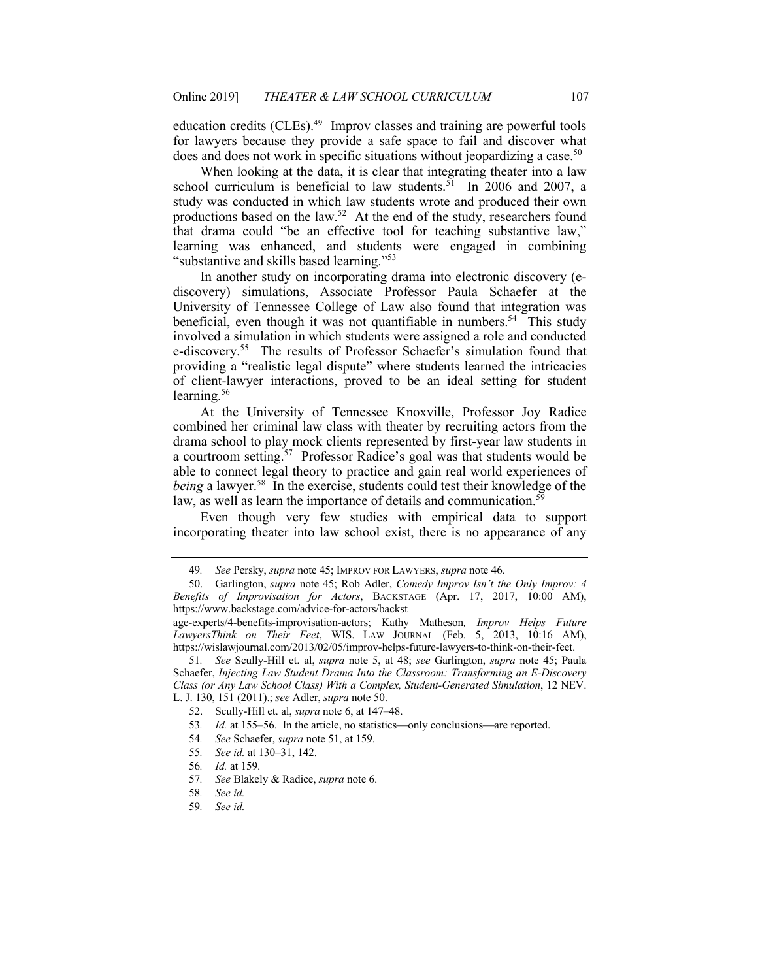education credits (CLEs).<sup>49</sup> Improv classes and training are powerful tools for lawyers because they provide a safe space to fail and discover what does and does not work in specific situations without jeopardizing a case.<sup>50</sup>

 When looking at the data, it is clear that integrating theater into a law school curriculum is beneficial to law students.<sup>51</sup> In 2006 and 2007, a study was conducted in which law students wrote and produced their own productions based on the law.<sup>52</sup> At the end of the study, researchers found that drama could "be an effective tool for teaching substantive law," learning was enhanced, and students were engaged in combining "substantive and skills based learning."<sup>53</sup>

 In another study on incorporating drama into electronic discovery (e- discovery) simulations, Associate Professor Paula Schaefer at the University of Tennessee College of Law also found that integration was beneficial, even though it was not quantifiable in numbers.<sup>54</sup> This study e-discovery.<sup>55</sup> The results of Professor Schaefer's simulation found that of client-lawyer interactions, proved to be an ideal setting for student involved a simulation in which students were assigned a role and conducted providing a "realistic legal dispute" where students learned the intricacies learning.<sup>56</sup>

 At the University of Tennessee Knoxville, Professor Joy Radice combined her criminal law class with theater by recruiting actors from the drama school to play mock clients represented by first-year law students in a courtroom setting.<sup>57</sup> Professor Radice's goal was that students would be able to connect legal theory to practice and gain real world experiences of *being* a [lawyer.58](https://lawyer.58) In the exercise, students could test their knowledge of the law, as well as learn the importance of details and communication.<sup>59</sup>

 Even though very few studies with empirical data to support incorporating theater into law school exist, there is no appearance of any

- 53. *Id.* at 155–56. In the article, no statistics—only conclusions—are reported.
- 54*. See* Schaefer, *supra* note 51, at 159.
- 55*. See id.* at 130–31, 142.
- 56*. Id.* at 159.
- 57*. See* Blakely & Radice, *supra* note 6.
- 58*. See id.*
- 59*. See id.*

<sup>49</sup>*. See* Persky, *supra* note 45; IMPROV FOR LAWYERS, *supra* note 46.

 *Benefits of Improvisation for Actors*, BACKSTAGE (Apr. 17, 2017, 10:00 AM), 50. Garlington, *supra* note 45; Rob Adler, *Comedy Improv Isn't the Only Improv: 4*  <https://www.backstage.com/advice-for-actors/backst>

 age-experts/4-benefits-improvisation-actors; Kathy Matheson*, Improv Helps Future*  LawyersThink on Their Feet, WIS. LAW JOURNAL (Feb. 5, 2013, 10:16 AM), [https://wislawjournal.com/2013/02/05/improv-helps-future-lawyers-to-think-on-their-feet.](https://wislawjournal.com/2013/02/05/improv-helps-future-lawyers-to-think-on-their-feet)

 Schaefer, *Injecting Law Student Drama Into the Classroom: Transforming an E-Discovery Class (or Any Law School Class) With a Complex, Student-Generated Simulation*, 12 NEV. L. J. 130, 151 (2011).; *see* Adler, *supra* note 50. 51*. See* Scully-Hill et. al, *supra* note 5, at 48; *see* Garlington, *supra* note 45; Paula

<sup>52.</sup> Scully-Hill et. al, *supra* note 6, at 147–48.